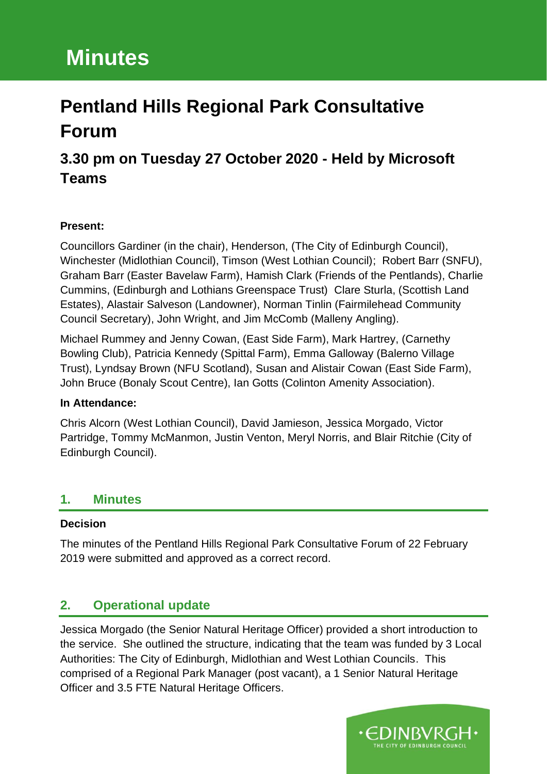# **3.30 pm on Tuesday 27 October 2020 - Held by Microsoft Teams**

#### **Present:**

Councillors Gardiner (in the chair), Henderson, (The City of Edinburgh Council), Winchester (Midlothian Council), Timson (West Lothian Council); Robert Barr (SNFU), Graham Barr (Easter Bavelaw Farm), Hamish Clark (Friends of the Pentlands), Charlie Cummins, (Edinburgh and Lothians Greenspace Trust) Clare Sturla, (Scottish Land Estates), Alastair Salveson (Landowner), Norman Tinlin (Fairmilehead Community Council Secretary), John Wright, and Jim McComb (Malleny Angling).

Michael Rummey and Jenny Cowan, (East Side Farm), Mark Hartrey, (Carnethy Bowling Club), Patricia Kennedy (Spittal Farm), Emma Galloway (Balerno Village Trust), Lyndsay Brown (NFU Scotland), Susan and Alistair Cowan (East Side Farm), John Bruce (Bonaly Scout Centre), Ian Gotts (Colinton Amenity Association).

#### **In Attendance:**

Chris Alcorn (West Lothian Council), David Jamieson, Jessica Morgado, Victor Partridge, Tommy McManmon, Justin Venton, Meryl Norris, and Blair Ritchie (City of Edinburgh Council).

# **1. Minutes**

#### **Decision**

The minutes of the Pentland Hills Regional Park Consultative Forum of 22 February 2019 were submitted and approved as a correct record.

# **2. Operational update**

Jessica Morgado (the Senior Natural Heritage Officer) provided a short introduction to the service. She outlined the structure, indicating that the team was funded by 3 Local Authorities: The City of Edinburgh, Midlothian and West Lothian Councils. This comprised of a Regional Park Manager (post vacant), a 1 Senior Natural Heritage Officer and 3.5 FTE Natural Heritage Officers.

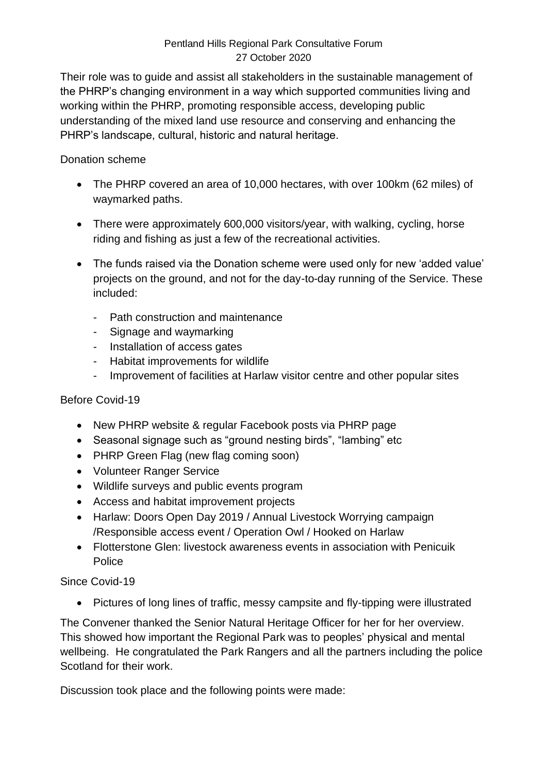Their role was to guide and assist all stakeholders in the sustainable management of the PHRP's changing environment in a way which supported communities living and working within the PHRP, promoting responsible access, developing public understanding of the mixed land use resource and conserving and enhancing the PHRP's landscape, cultural, historic and natural heritage.

#### Donation scheme

- The PHRP covered an area of 10,000 hectares, with over 100km (62 miles) of waymarked paths.
- There were approximately 600,000 visitors/year, with walking, cycling, horse riding and fishing as just a few of the recreational activities.
- The funds raised via the Donation scheme were used only for new 'added value' projects on the ground, and not for the day-to-day running of the Service. These included:
	- Path construction and maintenance
	- Signage and waymarking
	- Installation of access gates
	- Habitat improvements for wildlife
	- Improvement of facilities at Harlaw visitor centre and other popular sites

#### Before Covid-19

- New PHRP website & regular Facebook posts via PHRP page
- Seasonal signage such as "ground nesting birds", "lambing" etc
- PHRP Green Flag (new flag coming soon)
- Volunteer Ranger Service
- Wildlife surveys and public events program
- Access and habitat improvement projects
- Harlaw: Doors Open Day 2019 / Annual Livestock Worrying campaign /Responsible access event / Operation Owl / Hooked on Harlaw
- Flotterstone Glen: livestock awareness events in association with Penicuik Police

## Since Covid-19

• Pictures of long lines of traffic, messy campsite and fly-tipping were illustrated

The Convener thanked the Senior Natural Heritage Officer for her for her overview. This showed how important the Regional Park was to peoples' physical and mental wellbeing. He congratulated the Park Rangers and all the partners including the police Scotland for their work.

Discussion took place and the following points were made: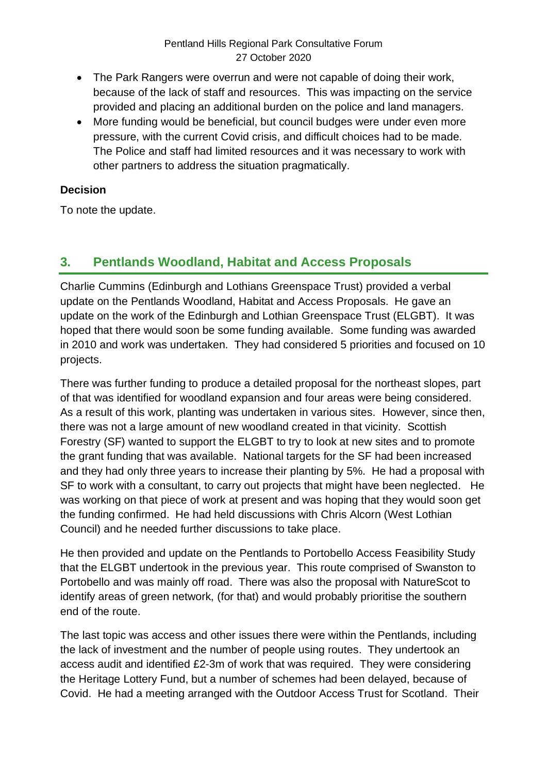- The Park Rangers were overrun and were not capable of doing their work, because of the lack of staff and resources. This was impacting on the service provided and placing an additional burden on the police and land managers.
- More funding would be beneficial, but council budges were under even more pressure, with the current Covid crisis, and difficult choices had to be made. The Police and staff had limited resources and it was necessary to work with other partners to address the situation pragmatically.

#### **Decision**

To note the update.

# **3. Pentlands Woodland, Habitat and Access Proposals**

Charlie Cummins (Edinburgh and Lothians Greenspace Trust) provided a verbal update on the Pentlands Woodland, Habitat and Access Proposals. He gave an update on the work of the Edinburgh and Lothian Greenspace Trust (ELGBT). It was hoped that there would soon be some funding available. Some funding was awarded in 2010 and work was undertaken. They had considered 5 priorities and focused on 10 projects.

There was further funding to produce a detailed proposal for the northeast slopes, part of that was identified for woodland expansion and four areas were being considered. As a result of this work, planting was undertaken in various sites. However, since then, there was not a large amount of new woodland created in that vicinity. Scottish Forestry (SF) wanted to support the ELGBT to try to look at new sites and to promote the grant funding that was available. National targets for the SF had been increased and they had only three years to increase their planting by 5%. He had a proposal with SF to work with a consultant, to carry out projects that might have been neglected. He was working on that piece of work at present and was hoping that they would soon get the funding confirmed. He had held discussions with Chris Alcorn (West Lothian Council) and he needed further discussions to take place.

He then provided and update on the Pentlands to Portobello Access Feasibility Study that the ELGBT undertook in the previous year. This route comprised of Swanston to Portobello and was mainly off road. There was also the proposal with NatureScot to identify areas of green network, (for that) and would probably prioritise the southern end of the route.

The last topic was access and other issues there were within the Pentlands, including the lack of investment and the number of people using routes. They undertook an access audit and identified £2-3m of work that was required. They were considering the Heritage Lottery Fund, but a number of schemes had been delayed, because of Covid. He had a meeting arranged with the Outdoor Access Trust for Scotland. Their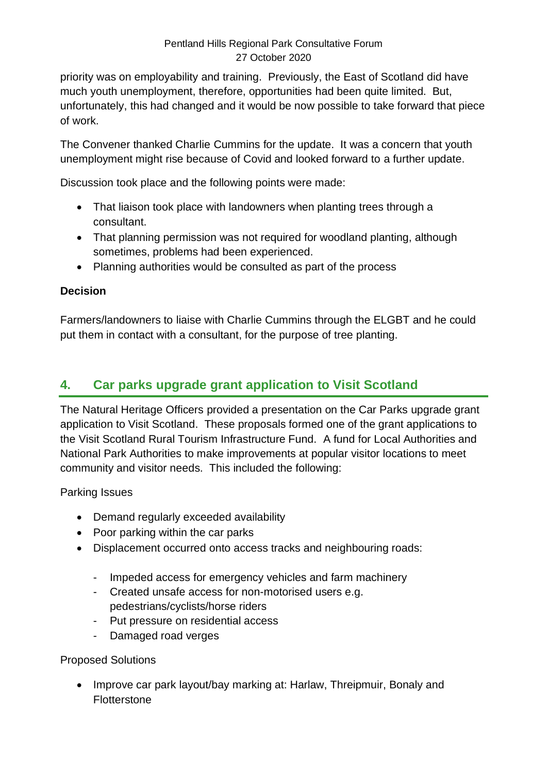priority was on employability and training. Previously, the East of Scotland did have much youth unemployment, therefore, opportunities had been quite limited. But, unfortunately, this had changed and it would be now possible to take forward that piece of work.

The Convener thanked Charlie Cummins for the update. It was a concern that youth unemployment might rise because of Covid and looked forward to a further update.

Discussion took place and the following points were made:

- That liaison took place with landowners when planting trees through a consultant.
- That planning permission was not required for woodland planting, although sometimes, problems had been experienced.
- Planning authorities would be consulted as part of the process

#### **Decision**

Farmers/landowners to liaise with Charlie Cummins through the ELGBT and he could put them in contact with a consultant, for the purpose of tree planting.

# **4. Car parks upgrade grant application to Visit Scotland**

The Natural Heritage Officers provided a presentation on the Car Parks upgrade grant application to Visit Scotland. These proposals formed one of the grant applications to the Visit Scotland Rural Tourism Infrastructure Fund. A fund for Local Authorities and National Park Authorities to make improvements at popular visitor locations to meet community and visitor needs. This included the following:

Parking Issues

- Demand regularly exceeded availability
- Poor parking within the car parks
- Displacement occurred onto access tracks and neighbouring roads:
	- Impeded access for emergency vehicles and farm machinery
	- Created unsafe access for non-motorised users e.g. pedestrians/cyclists/horse riders
	- Put pressure on residential access
	- Damaged road verges

#### Proposed Solutions

• Improve car park layout/bay marking at: Harlaw, Threipmuir, Bonaly and **Flotterstone**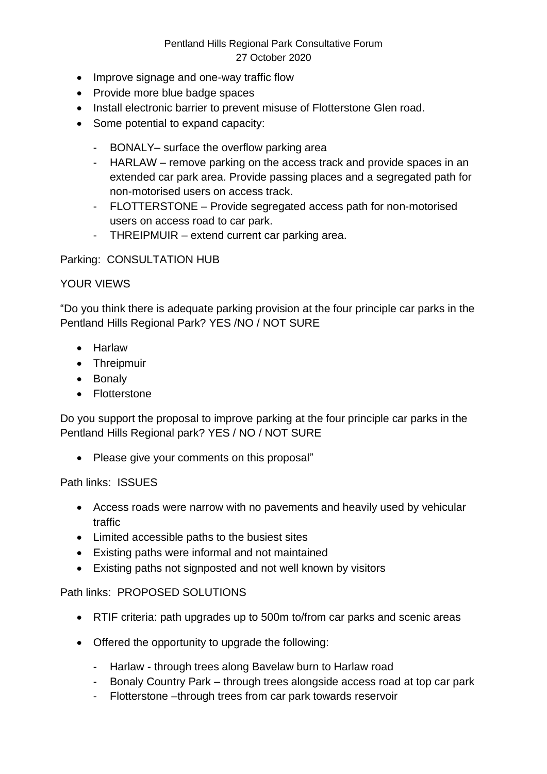- Improve signage and one-way traffic flow
- Provide more blue badge spaces
- Install electronic barrier to prevent misuse of Flotterstone Glen road.
- Some potential to expand capacity:
	- BONALY– surface the overflow parking area
	- HARLAW remove parking on the access track and provide spaces in an extended car park area. Provide passing places and a segregated path for non-motorised users on access track.
	- FLOTTERSTONE Provide segregated access path for non-motorised users on access road to car park.
	- THREIPMUIR extend current car parking area.

#### Parking: CONSULTATION HUB

#### YOUR VIEWS

"Do you think there is adequate parking provision at the four principle car parks in the Pentland Hills Regional Park? YES /NO / NOT SURE

- Harlaw
- Threipmuir
- Bonaly
- Flotterstone

Do you support the proposal to improve parking at the four principle car parks in the Pentland Hills Regional park? YES / NO / NOT SURE

• Please give your comments on this proposal"

#### Path links: ISSUES

- Access roads were narrow with no pavements and heavily used by vehicular traffic
- Limited accessible paths to the busiest sites
- Existing paths were informal and not maintained
- Existing paths not signposted and not well known by visitors

#### Path links: PROPOSED SOLUTIONS

- RTIF criteria: path upgrades up to 500m to/from car parks and scenic areas
- Offered the opportunity to upgrade the following:
	- Harlaw through trees along Bavelaw burn to Harlaw road
	- Bonaly Country Park through trees alongside access road at top car park
	- Flotterstone –through trees from car park towards reservoir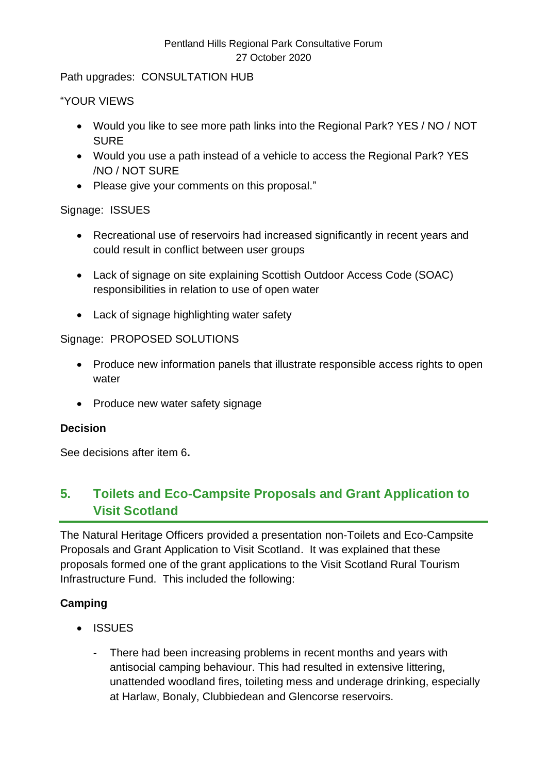Path upgrades: CONSULTATION HUB

#### "YOUR VIEWS

- Would you like to see more path links into the Regional Park? YES / NO / NOT SURE
- Would you use a path instead of a vehicle to access the Regional Park? YES /NO / NOT SURE
- Please give your comments on this proposal."

#### Signage: ISSUES

- Recreational use of reservoirs had increased significantly in recent years and could result in conflict between user groups
- Lack of signage on site explaining Scottish Outdoor Access Code (SOAC) responsibilities in relation to use of open water
- Lack of signage highlighting water safety

#### Signage: PROPOSED SOLUTIONS

- Produce new information panels that illustrate responsible access rights to open water
- Produce new water safety signage

#### **Decision**

See decisions after item 6**.**

# **5. Toilets and Eco-Campsite Proposals and Grant Application to Visit Scotland**

The Natural Heritage Officers provided a presentation non-Toilets and Eco-Campsite Proposals and Grant Application to Visit Scotland. It was explained that these proposals formed one of the grant applications to the Visit Scotland Rural Tourism Infrastructure Fund. This included the following:

## **Camping**

- ISSUES
	- There had been increasing problems in recent months and years with antisocial camping behaviour. This had resulted in extensive littering, unattended woodland fires, toileting mess and underage drinking, especially at Harlaw, Bonaly, Clubbiedean and Glencorse reservoirs.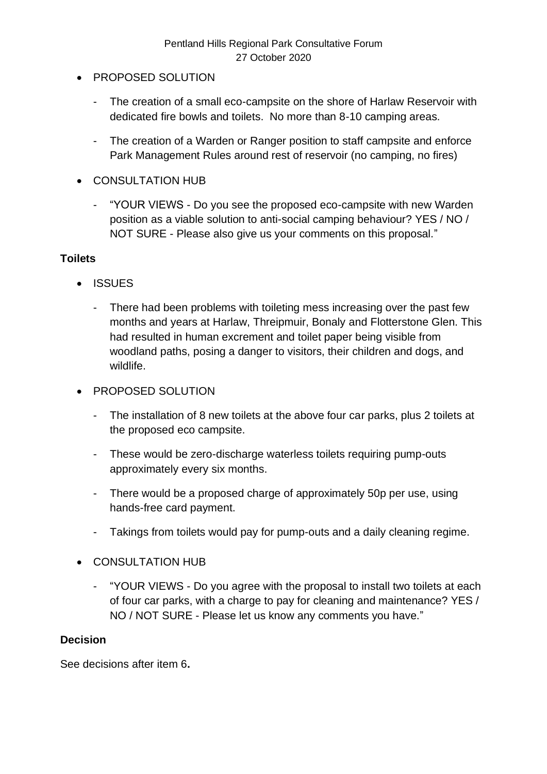- PROPOSED SOLUTION
	- The creation of a small eco-campsite on the shore of Harlaw Reservoir with dedicated fire bowls and toilets. No more than 8-10 camping areas.
	- The creation of a Warden or Ranger position to staff campsite and enforce Park Management Rules around rest of reservoir (no camping, no fires)
- CONSULTATION HUB
	- "YOUR VIEWS Do you see the proposed eco-campsite with new Warden position as a viable solution to anti-social camping behaviour? YES / NO / NOT SURE - Please also give us your comments on this proposal."

#### **Toilets**

- ISSUES
	- There had been problems with toileting mess increasing over the past few months and years at Harlaw, Threipmuir, Bonaly and Flotterstone Glen. This had resulted in human excrement and toilet paper being visible from woodland paths, posing a danger to visitors, their children and dogs, and wildlife.
- PROPOSED SOLUTION
	- The installation of 8 new toilets at the above four car parks, plus 2 toilets at the proposed eco campsite.
	- These would be zero-discharge waterless toilets requiring pump-outs approximately every six months.
	- There would be a proposed charge of approximately 50p per use, using hands-free card payment.
	- Takings from toilets would pay for pump-outs and a daily cleaning regime.
- CONSULTATION HUB
	- "YOUR VIEWS Do you agree with the proposal to install two toilets at each of four car parks, with a charge to pay for cleaning and maintenance? YES / NO / NOT SURE - Please let us know any comments you have."

#### **Decision**

See decisions after item 6**.**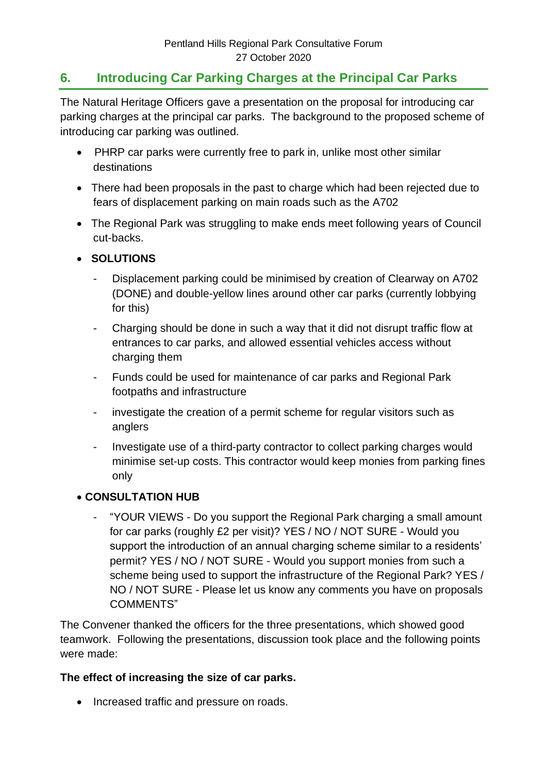# **6. Introducing Car Parking Charges at the Principal Car Parks**

The Natural Heritage Officers gave a presentation on the proposal for introducing car parking charges at the principal car parks. The background to the proposed scheme of introducing car parking was outlined.

- PHRP car parks were currently free to park in, unlike most other similar destinations
- There had been proposals in the past to charge which had been rejected due to fears of displacement parking on main roads such as the A702
- The Regional Park was struggling to make ends meet following years of Council cut-backs.
- • **SOLUTIONS** 
	- Displacement parking could be minimised by creation of Clearway on A702 (DONE) and double-yellow lines around other car parks (currently lobbying for this)
	- Charging should be done in such a way that it did not disrupt traffic flow at entrances to car parks, and allowed essential vehicles access without charging them
	- Funds could be used for maintenance of car parks and Regional Park footpaths and infrastructure
	- investigate the creation of a permit scheme for regular visitors such as anglers
	- Investigate use of a third-party contractor to collect parking charges would minimise set-up costs. This contractor would keep monies from parking fines only

#### • **CONSULTATION HUB**

"YOUR VIEWS - Do you support the Regional Park charging a small amount for car parks (roughly £2 per visit)? YES / NO / NOT SURE - Would you support the introduction of an annual charging scheme similar to a residents' permit? YES / NO / NOT SURE - Would you support monies from such a scheme being used to support the infrastructure of the Regional Park? YES / NO / NOT SURE - Please let us know any comments you have on proposals COMMENTS"

The Convener thanked the officers for the three presentations, which showed good teamwork. Following the presentations, discussion took place and the following points were made:

#### **The effect of increasing the size of car parks.**

• Increased traffic and pressure on roads.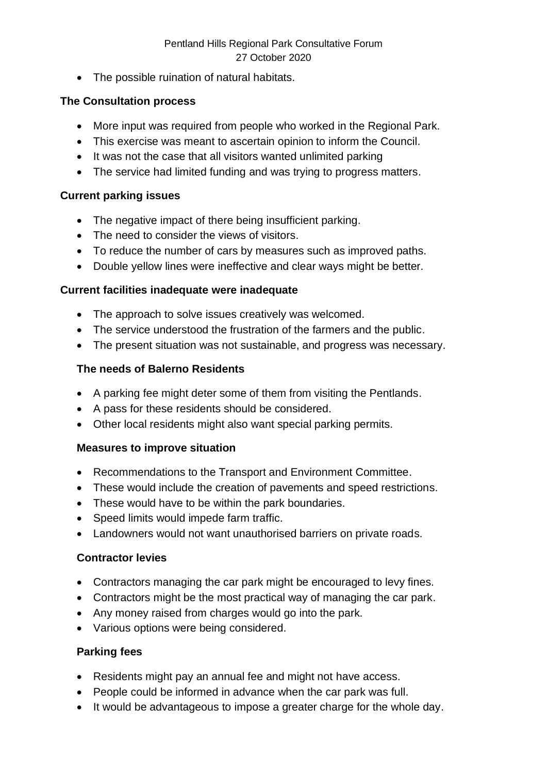• The possible ruination of natural habitats.

#### **The Consultation process**

- More input was required from people who worked in the Regional Park.
- This exercise was meant to ascertain opinion to inform the Council.
- It was not the case that all visitors wanted unlimited parking
- The service had limited funding and was trying to progress matters.

#### **Current parking issues**

- The negative impact of there being insufficient parking.
- The need to consider the views of visitors.
- To reduce the number of cars by measures such as improved paths.
- Double yellow lines were ineffective and clear ways might be better.

#### **Current facilities inadequate were inadequate**

- The approach to solve issues creatively was welcomed.
- The service understood the frustration of the farmers and the public.
- The present situation was not sustainable, and progress was necessary.

#### **The needs of Balerno Residents**

- A parking fee might deter some of them from visiting the Pentlands.
- A pass for these residents should be considered.
- Other local residents might also want special parking permits.

## **Measures to improve situation**

- Recommendations to the Transport and Environment Committee.
- These would include the creation of pavements and speed restrictions.
- These would have to be within the park boundaries.
- Speed limits would impede farm traffic.
- Landowners would not want unauthorised barriers on private roads.

## **Contractor levies**

- Contractors managing the car park might be encouraged to levy fines.
- Contractors might be the most practical way of managing the car park.
- Any money raised from charges would go into the park.
- Various options were being considered.

#### **Parking fees**

- Residents might pay an annual fee and might not have access.
- People could be informed in advance when the car park was full.
- It would be advantageous to impose a greater charge for the whole day.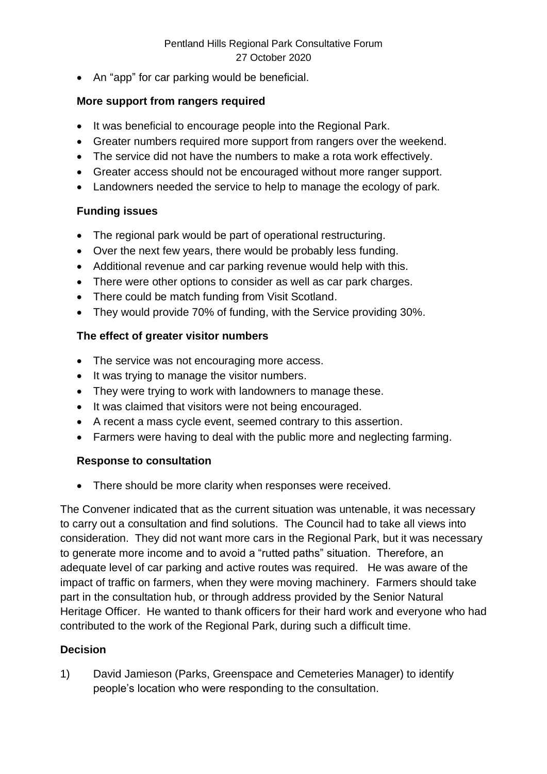• An "app" for car parking would be beneficial.

#### **More support from rangers required**

- It was beneficial to encourage people into the Regional Park.
- Greater numbers required more support from rangers over the weekend.
- The service did not have the numbers to make a rota work effectively.
- Greater access should not be encouraged without more ranger support.
- Landowners needed the service to help to manage the ecology of park.

#### **Funding issues**

- The regional park would be part of operational restructuring.
- Over the next few years, there would be probably less funding.
- Additional revenue and car parking revenue would help with this.
- There were other options to consider as well as car park charges.
- There could be match funding from Visit Scotland.
- They would provide 70% of funding, with the Service providing 30%.

## **The effect of greater visitor numbers**

- The service was not encouraging more access.
- It was trying to manage the visitor numbers.
- They were trying to work with landowners to manage these.
- It was claimed that visitors were not being encouraged.
- A recent a mass cycle event, seemed contrary to this assertion.
- Farmers were having to deal with the public more and neglecting farming.

## **Response to consultation**

• There should be more clarity when responses were received.

The Convener indicated that as the current situation was untenable, it was necessary to carry out a consultation and find solutions. The Council had to take all views into consideration. They did not want more cars in the Regional Park, but it was necessary to generate more income and to avoid a "rutted paths" situation. Therefore, an adequate level of car parking and active routes was required. He was aware of the impact of traffic on farmers, when they were moving machinery. Farmers should take part in the consultation hub, or through address provided by the Senior Natural Heritage Officer. He wanted to thank officers for their hard work and everyone who had contributed to the work of the Regional Park, during such a difficult time.

#### **Decision**

1) David Jamieson (Parks, Greenspace and Cemeteries Manager) to identify people's location who were responding to the consultation.